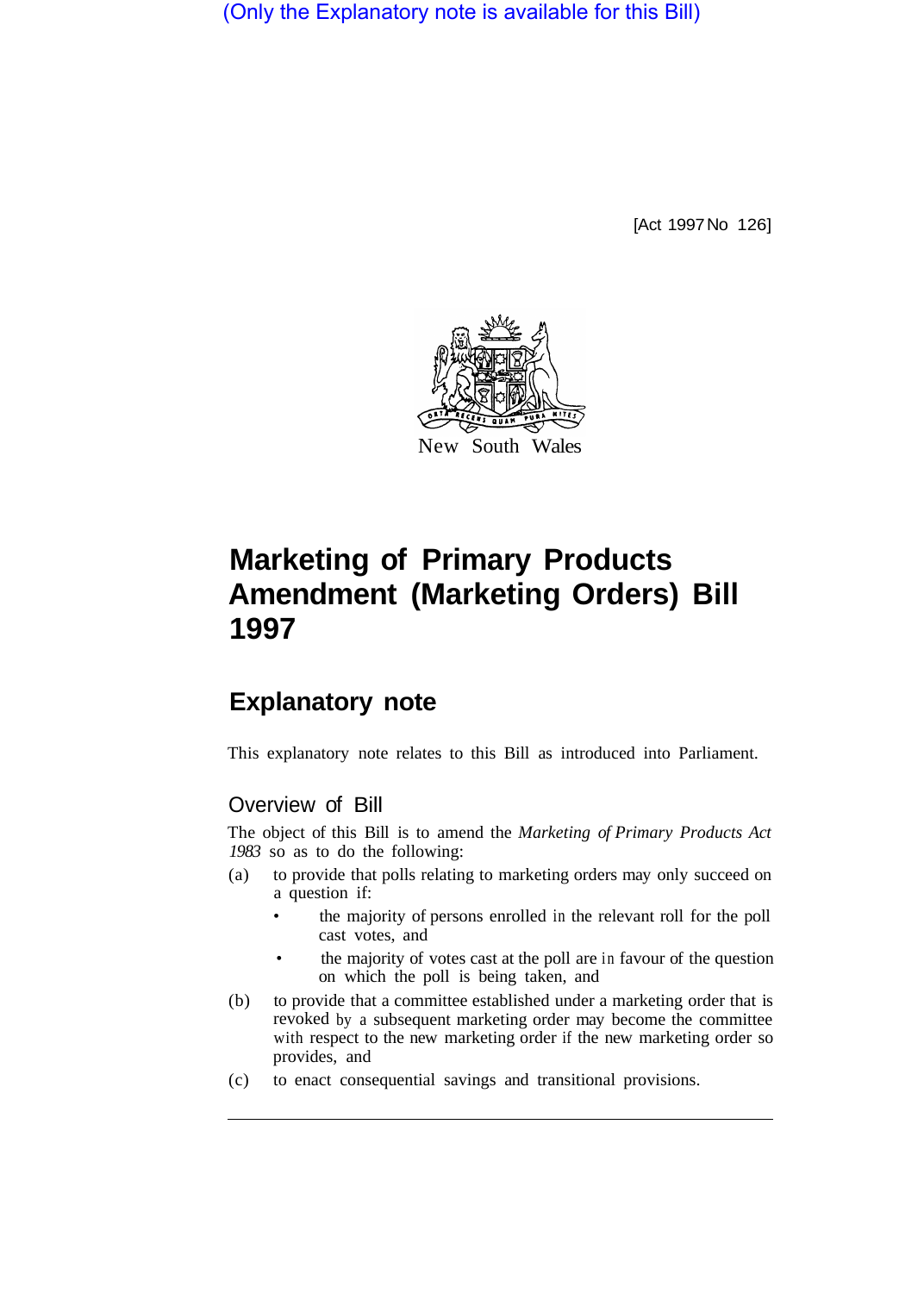(Only the Explanatory note is available for this Bill)

[Act 1997 No 126]



# **Marketing of Primary Products Amendment (Marketing Orders) Bill 1997**

# **Explanatory note**

This explanatory note relates to this Bill as introduced into Parliament.

## Overview of Bill

The object of this Bill is to amend the *Marketing of Primary Products Act 1983* so as to do the following:

- (a) to provide that polls relating to marketing orders may only succeed on a question if:
	- the majority of persons enrolled in the relevant roll for the poll cast votes, and
	- the majority of votes cast at the poll are in favour of the question on which the poll is being taken, and
- (b) to provide that a committee established under a marketing order that is revoked by a subsequent marketing order may become the committee with respect to the new marketing order if the new marketing order so provides, and
- (c) to enact consequential savings and transitional provisions.